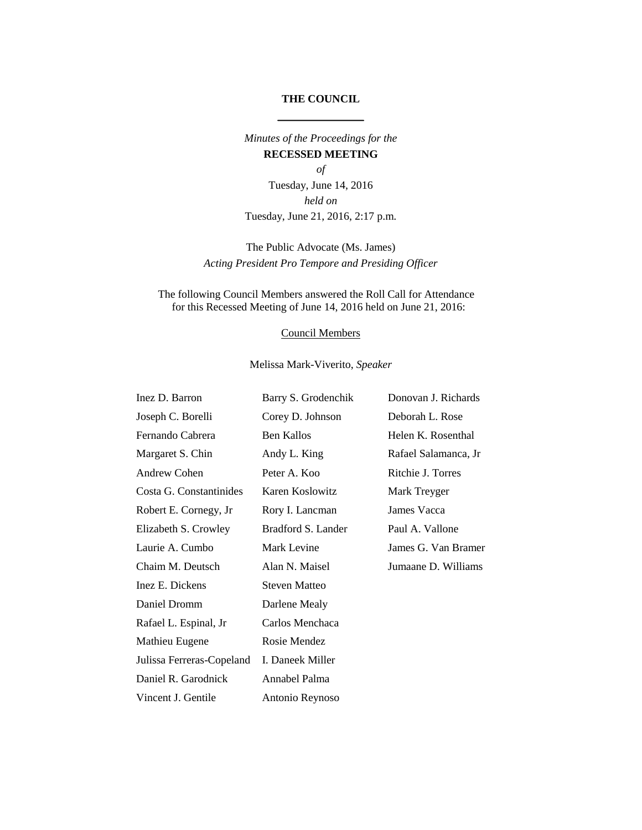## **THE COUNCIL**

*Minutes of the Proceedings for the*  **RECESSED MEETING**

*of* Tuesday, June 14, 2016 *held on* Tuesday, June 21, 2016, 2:17 p.m.

# The Public Advocate (Ms. James) *Acting President Pro Tempore and Presiding Officer*

### The following Council Members answered the Roll Call for Attendance for this Recessed Meeting of June 14, 2016 held on June 21, 2016:

#### Council Members

### Melissa Mark-Viverito, *Speaker*

| Inez D. Barron            | Barry S. Grodenchik  | Donovan J. Richards  |
|---------------------------|----------------------|----------------------|
| Joseph C. Borelli         | Corey D. Johnson     | Deborah L. Rose      |
| Fernando Cabrera          | <b>Ben Kallos</b>    | Helen K. Rosenthal   |
| Margaret S. Chin          | Andy L. King         | Rafael Salamanca, Jr |
| Andrew Cohen              | Peter A. Koo         | Ritchie J. Torres    |
| Costa G. Constantinides   | Karen Koslowitz      | Mark Treyger         |
| Robert E. Cornegy, Jr     | Rory I. Lancman      | James Vacca          |
| Elizabeth S. Crowley      | Bradford S. Lander   | Paul A. Vallone      |
| Laurie A. Cumbo           | Mark Levine          | James G. Van Bramer  |
| Chaim M. Deutsch          | Alan N. Maisel       | Jumaane D. Williams  |
| Inez E. Dickens           | <b>Steven Matteo</b> |                      |
| Daniel Dromm              | Darlene Mealy        |                      |
| Rafael L. Espinal, Jr     | Carlos Menchaca      |                      |
| Mathieu Eugene            | Rosie Mendez         |                      |
| Julissa Ferreras-Copeland | I. Daneek Miller     |                      |
| Daniel R. Garodnick       | Annabel Palma        |                      |
| Vincent J. Gentile        | Antonio Reynoso      |                      |